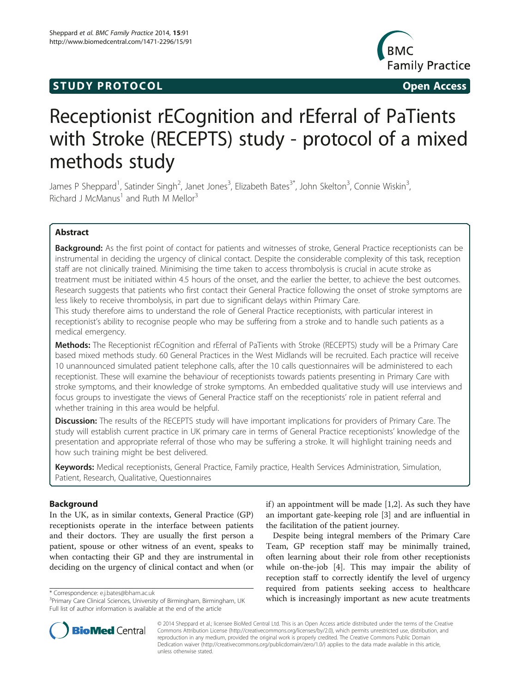## S TUDY PROTOCOL AND RESERVE THE STUDY PROTOCOL



# Receptionist rECognition and rEferral of PaTients with Stroke (RECEPTS) study - protocol of a mixed methods study

James P Sheppard<sup>1</sup>, Satinder Singh<sup>2</sup>, Janet Jones<sup>3</sup>, Elizabeth Bates<sup>3\*</sup>, John Skelton<sup>3</sup>, Connie Wiskin<sup>3</sup> , Richard J McManus<sup>1</sup> and Ruth M Mellor<sup>3</sup>

## Abstract

Background: As the first point of contact for patients and witnesses of stroke, General Practice receptionists can be instrumental in deciding the urgency of clinical contact. Despite the considerable complexity of this task, reception staff are not clinically trained. Minimising the time taken to access thrombolysis is crucial in acute stroke as treatment must be initiated within 4.5 hours of the onset, and the earlier the better, to achieve the best outcomes. Research suggests that patients who first contact their General Practice following the onset of stroke symptoms are less likely to receive thrombolysis, in part due to significant delays within Primary Care.

This study therefore aims to understand the role of General Practice receptionists, with particular interest in receptionist's ability to recognise people who may be suffering from a stroke and to handle such patients as a medical emergency.

Methods: The Receptionist rECognition and rEferral of PaTients with Stroke (RECEPTS) study will be a Primary Care based mixed methods study. 60 General Practices in the West Midlands will be recruited. Each practice will receive 10 unannounced simulated patient telephone calls, after the 10 calls questionnaires will be administered to each receptionist. These will examine the behaviour of receptionists towards patients presenting in Primary Care with stroke symptoms, and their knowledge of stroke symptoms. An embedded qualitative study will use interviews and focus groups to investigate the views of General Practice staff on the receptionists' role in patient referral and whether training in this area would be helpful.

**Discussion:** The results of the RECEPTS study will have important implications for providers of Primary Care. The study will establish current practice in UK primary care in terms of General Practice receptionists' knowledge of the presentation and appropriate referral of those who may be suffering a stroke. It will highlight training needs and how such training might be best delivered.

Keywords: Medical receptionists, General Practice, Family practice, Health Services Administration, Simulation, Patient, Research, Qualitative, Questionnaires

## Background

In the UK, as in similar contexts, General Practice (GP) receptionists operate in the interface between patients and their doctors. They are usually the first person a patient, spouse or other witness of an event, speaks to when contacting their GP and they are instrumental in deciding on the urgency of clinical contact and when (or



Despite being integral members of the Primary Care Team, GP reception staff may be minimally trained, often learning about their role from other receptionists while on-the-job [[4\]](#page-6-0). This may impair the ability of reception staff to correctly identify the level of urgency required from patients seeking access to healthcare \* Correspondence: [e.j.bates@bham.ac.uk](mailto:e.j.bates@bham.ac.uk)<br><sup>3</sup>Primary Care Clinical Sciences, University of Birmingham, Birmingham, UK **32 which is increasingly important as new acute treatments** 



© 2014 Sheppard et al.; licensee BioMed Central Ltd. This is an Open Access article distributed under the terms of the Creative Commons Attribution License [\(http://creativecommons.org/licenses/by/2.0\)](http://creativecommons.org/licenses/by/2.0), which permits unrestricted use, distribution, and reproduction in any medium, provided the original work is properly credited. The Creative Commons Public Domain Dedication waiver [\(http://creativecommons.org/publicdomain/zero/1.0/](http://creativecommons.org/publicdomain/zero/1.0/)) applies to the data made available in this article, unless otherwise stated.

<sup>&</sup>lt;sup>3</sup>Primary Care Clinical Sciences, University of Birmingham, Birmingham, UK Full list of author information is available at the end of the article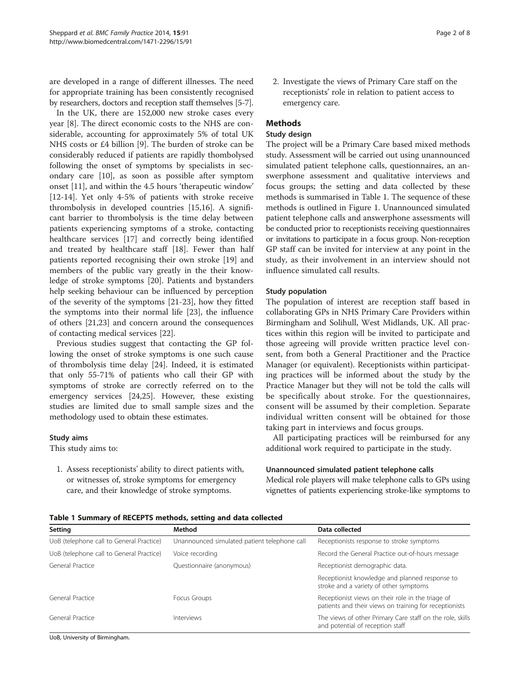are developed in a range of different illnesses. The need for appropriate training has been consistently recognised by researchers, doctors and reception staff themselves [\[5-7](#page-6-0)].

In the UK, there are 152,000 new stroke cases every year [[8\]](#page-6-0). The direct economic costs to the NHS are considerable, accounting for approximately 5% of total UK NHS costs or £4 billion [[9\]](#page-6-0). The burden of stroke can be considerably reduced if patients are rapidly thombolysed following the onset of symptoms by specialists in secondary care [\[10](#page-6-0)], as soon as possible after symptom onset [[11](#page-6-0)], and within the 4.5 hours 'therapeutic window' [[12-14](#page-6-0)]. Yet only 4-5% of patients with stroke receive thrombolysis in developed countries [[15,16\]](#page-6-0). A significant barrier to thrombolysis is the time delay between patients experiencing symptoms of a stroke, contacting healthcare services [[17](#page-6-0)] and correctly being identified and treated by healthcare staff [\[18](#page-6-0)]. Fewer than half patients reported recognising their own stroke [[19](#page-6-0)] and members of the public vary greatly in the their knowledge of stroke symptoms [\[20](#page-6-0)]. Patients and bystanders help seeking behaviour can be influenced by perception of the severity of the symptoms [[21](#page-6-0)-[23\]](#page-7-0), how they fitted the symptoms into their normal life [[23\]](#page-7-0), the influence of others [[21,](#page-6-0)[23\]](#page-7-0) and concern around the consequences of contacting medical services [[22\]](#page-7-0).

Previous studies suggest that contacting the GP following the onset of stroke symptoms is one such cause of thrombolysis time delay [[24\]](#page-7-0). Indeed, it is estimated that only 55-71% of patients who call their GP with symptoms of stroke are correctly referred on to the emergency services [[24](#page-7-0),[25](#page-7-0)]. However, these existing studies are limited due to small sample sizes and the methodology used to obtain these estimates.

#### Study aims

This study aims to:

1. Assess receptionists' ability to direct patients with, or witnesses of, stroke symptoms for emergency care, and their knowledge of stroke symptoms.

2. Investigate the views of Primary Care staff on the receptionists' role in relation to patient access to emergency care.

## Methods

#### Study design

The project will be a Primary Care based mixed methods study. Assessment will be carried out using unannounced simulated patient telephone calls, questionnaires, an answerphone assessment and qualitative interviews and focus groups; the setting and data collected by these methods is summarised in Table 1. The sequence of these methods is outlined in Figure [1](#page-2-0). Unannounced simulated patient telephone calls and answerphone assessments will be conducted prior to receptionists receiving questionnaires or invitations to participate in a focus group. Non-reception GP staff can be invited for interview at any point in the study, as their involvement in an interview should not influence simulated call results.

#### Study population

The population of interest are reception staff based in collaborating GPs in NHS Primary Care Providers within Birmingham and Solihull, West Midlands, UK. All practices within this region will be invited to participate and those agreeing will provide written practice level consent, from both a General Practitioner and the Practice Manager (or equivalent). Receptionists within participating practices will be informed about the study by the Practice Manager but they will not be told the calls will be specifically about stroke. For the questionnaires, consent will be assumed by their completion. Separate individual written consent will be obtained for those taking part in interviews and focus groups.

All participating practices will be reimbursed for any additional work required to participate in the study.

#### Unannounced simulated patient telephone calls

Medical role players will make telephone calls to GPs using vignettes of patients experiencing stroke-like symptoms to

Table 1 Summary of RECEPTS methods, setting and data collected

| Setting                                  | Method                                       | Data collected                                                                                              |
|------------------------------------------|----------------------------------------------|-------------------------------------------------------------------------------------------------------------|
| UoB (telephone call to General Practice) | Unannounced simulated patient telephone call | Receptionists response to stroke symptoms                                                                   |
| UoB (telephone call to General Practice) | Voice recording                              | Record the General Practice out-of-hours message                                                            |
| General Practice                         | Questionnaire (anonymous)                    | Receptionist demographic data.                                                                              |
|                                          |                                              | Receptionist knowledge and planned response to<br>stroke and a variety of other symptoms                    |
| General Practice                         | Focus Groups                                 | Receptionist views on their role in the triage of<br>patients and their views on training for receptionists |
| General Practice                         | Interviews                                   | The views of other Primary Care staff on the role, skills<br>and potential of reception staff               |

UoB, University of Birmingham.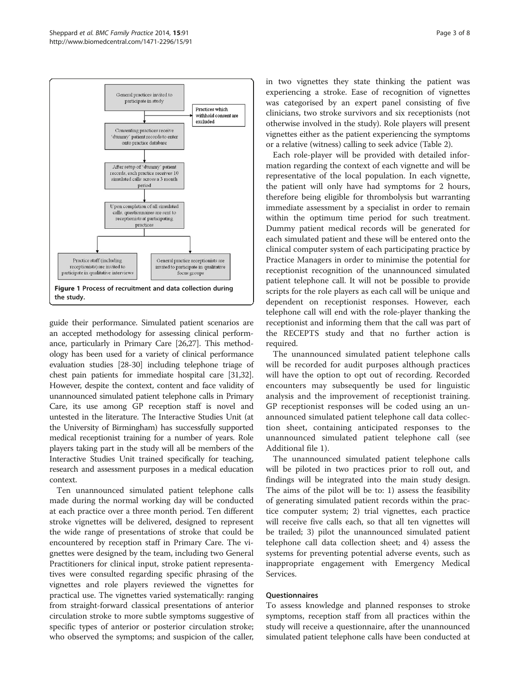<span id="page-2-0"></span>

guide their performance. Simulated patient scenarios are an accepted methodology for assessing clinical performance, particularly in Primary Care [\[26,27](#page-7-0)]. This methodology has been used for a variety of clinical performance evaluation studies [\[28-30\]](#page-7-0) including telephone triage of chest pain patients for immediate hospital care [\[31,32](#page-7-0)]. However, despite the context, content and face validity of unannounced simulated patient telephone calls in Primary Care, its use among GP reception staff is novel and untested in the literature. The Interactive Studies Unit (at the University of Birmingham) has successfully supported medical receptionist training for a number of years. Role players taking part in the study will all be members of the Interactive Studies Unit trained specifically for teaching, research and assessment purposes in a medical education context.

Ten unannounced simulated patient telephone calls made during the normal working day will be conducted at each practice over a three month period. Ten different stroke vignettes will be delivered, designed to represent the wide range of presentations of stroke that could be encountered by reception staff in Primary Care. The vignettes were designed by the team, including two General Practitioners for clinical input, stroke patient representatives were consulted regarding specific phrasing of the vignettes and role players reviewed the vignettes for practical use. The vignettes varied systematically: ranging from straight-forward classical presentations of anterior circulation stroke to more subtle symptoms suggestive of specific types of anterior or posterior circulation stroke; who observed the symptoms; and suspicion of the caller, in two vignettes they state thinking the patient was experiencing a stroke. Ease of recognition of vignettes was categorised by an expert panel consisting of five clinicians, two stroke survivors and six receptionists (not otherwise involved in the study). Role players will present vignettes either as the patient experiencing the symptoms or a relative (witness) calling to seek advice (Table [2](#page-3-0)).

Each role-player will be provided with detailed information regarding the context of each vignette and will be representative of the local population. In each vignette, the patient will only have had symptoms for 2 hours, therefore being eligible for thrombolysis but warranting immediate assessment by a specialist in order to remain within the optimum time period for such treatment. Dummy patient medical records will be generated for each simulated patient and these will be entered onto the clinical computer system of each participating practice by Practice Managers in order to minimise the potential for receptionist recognition of the unannounced simulated patient telephone call. It will not be possible to provide scripts for the role players as each call will be unique and dependent on receptionist responses. However, each telephone call will end with the role-player thanking the receptionist and informing them that the call was part of the RECEPTS study and that no further action is required.

The unannounced simulated patient telephone calls will be recorded for audit purposes although practices will have the option to opt out of recording. Recorded encounters may subsequently be used for linguistic analysis and the improvement of receptionist training. GP receptionist responses will be coded using an unannounced simulated patient telephone call data collection sheet, containing anticipated responses to the unannounced simulated patient telephone call (see Additional file [1\)](#page-6-0).

The unannounced simulated patient telephone calls will be piloted in two practices prior to roll out, and findings will be integrated into the main study design. The aims of the pilot will be to: 1) assess the feasibility of generating simulated patient records within the practice computer system; 2) trial vignettes, each practice will receive five calls each, so that all ten vignettes will be trailed; 3) pilot the unannounced simulated patient telephone call data collection sheet; and 4) assess the systems for preventing potential adverse events, such as inappropriate engagement with Emergency Medical Services.

#### Questionnaires

To assess knowledge and planned responses to stroke symptoms, reception staff from all practices within the study will receive a questionnaire, after the unannounced simulated patient telephone calls have been conducted at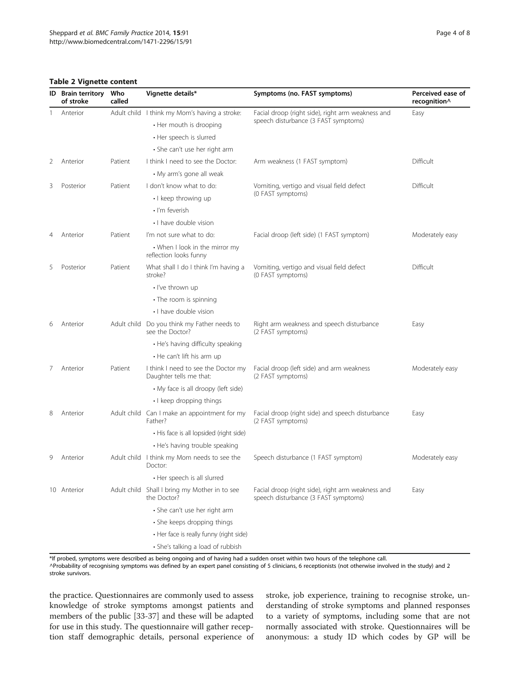#### <span id="page-3-0"></span>Table 2 Vignette content

| ID       | <b>Brain territory</b><br>of stroke | Who<br>called | Vignette details*                                              | Symptoms (no. FAST symptoms)                                                              | Perceived ease of<br>recognition^ |
|----------|-------------------------------------|---------------|----------------------------------------------------------------|-------------------------------------------------------------------------------------------|-----------------------------------|
|          | Anterior                            |               | Adult child I think my Mom's having a stroke:                  | Facial droop (right side), right arm weakness and<br>speech disturbance (3 FAST symptoms) | Easy                              |
|          |                                     |               | • Her mouth is drooping                                        |                                                                                           |                                   |
|          |                                     |               | • Her speech is slurred                                        |                                                                                           |                                   |
|          |                                     |               | • She can't use her right arm                                  |                                                                                           |                                   |
| 2        | Anterior                            | Patient       | I think I need to see the Doctor:                              | Arm weakness (1 FAST symptom)                                                             | Difficult                         |
|          |                                     |               | • My arm's gone all weak                                       |                                                                                           |                                   |
| 3        | Posterior                           | Patient       | I don't know what to do:                                       | Vomiting, vertigo and visual field defect<br>(0 FAST symptoms)                            | Difficult                         |
|          |                                     |               | • I keep throwing up                                           |                                                                                           |                                   |
|          |                                     |               | · I'm feverish                                                 |                                                                                           |                                   |
|          |                                     |               | • I have double vision                                         |                                                                                           |                                   |
| 4        | Anterior                            | Patient       | I'm not sure what to do:                                       | Facial droop (left side) (1 FAST symptom)                                                 | Moderately easy                   |
|          |                                     |               | • When I look in the mirror my<br>reflection looks funny       |                                                                                           |                                   |
| 5        | Posterior                           | Patient       | What shall I do I think I'm having a<br>stroke?                | Vomiting, vertigo and visual field defect<br>(0 FAST symptoms)                            | Difficult                         |
|          |                                     |               | • I've thrown up                                               |                                                                                           |                                   |
|          |                                     |               | • The room is spinning                                         |                                                                                           |                                   |
|          |                                     |               | • I have double vision                                         |                                                                                           |                                   |
| 6        | Anterior                            |               | Adult child Do you think my Father needs to<br>see the Doctor? | Right arm weakness and speech disturbance<br>(2 FAST symptoms)                            | Easy                              |
|          |                                     |               | • He's having difficulty speaking                              |                                                                                           |                                   |
|          |                                     |               | • He can't lift his arm up                                     |                                                                                           |                                   |
| $\prime$ | Anterior                            | Patient       | I think I need to see the Doctor my<br>Daughter tells me that: | Facial droop (left side) and arm weakness<br>(2 FAST symptoms)                            | Moderately easy                   |
|          |                                     |               | • My face is all droopy (left side)                            |                                                                                           |                                   |
|          |                                     |               | • I keep dropping things                                       |                                                                                           |                                   |
| 8        | Anterior                            |               | Adult child Can I make an appointment for my<br>Father?        | Facial droop (right side) and speech disturbance<br>(2 FAST symptoms)                     | Easy                              |
|          |                                     |               | · His face is all lopsided (right side)                        |                                                                                           |                                   |
|          |                                     |               | • He's having trouble speaking                                 |                                                                                           |                                   |
| 9        | Anterior                            |               | Adult child I think my Mom needs to see the<br>Doctor:         | Speech disturbance (1 FAST symptom)                                                       | Moderately easy                   |
|          |                                     |               | • Her speech is all slurred                                    |                                                                                           |                                   |
|          | 10 Anterior                         |               | Adult child Shall I bring my Mother in to see<br>the Doctor?   | Facial droop (right side), right arm weakness and<br>speech disturbance (3 FAST symptoms) | Easy                              |
|          |                                     |               | • She can't use her right arm                                  |                                                                                           |                                   |
|          |                                     |               | • She keeps dropping things                                    |                                                                                           |                                   |
|          |                                     |               | • Her face is really funny (right side)                        |                                                                                           |                                   |
|          |                                     |               | • She's talking a load of rubbish                              |                                                                                           |                                   |

\*If probed, symptoms were described as being ongoing and of having had a sudden onset within two hours of the telephone call.

^Probability of recognising symptoms was defined by an expert panel consisting of 5 clinicians, 6 receptionists (not otherwise involved in the study) and 2 stroke survivors.

the practice. Questionnaires are commonly used to assess knowledge of stroke symptoms amongst patients and members of the public [\[33](#page-7-0)-[37](#page-7-0)] and these will be adapted for use in this study. The questionnaire will gather reception staff demographic details, personal experience of stroke, job experience, training to recognise stroke, understanding of stroke symptoms and planned responses to a variety of symptoms, including some that are not normally associated with stroke. Questionnaires will be anonymous: a study ID which codes by GP will be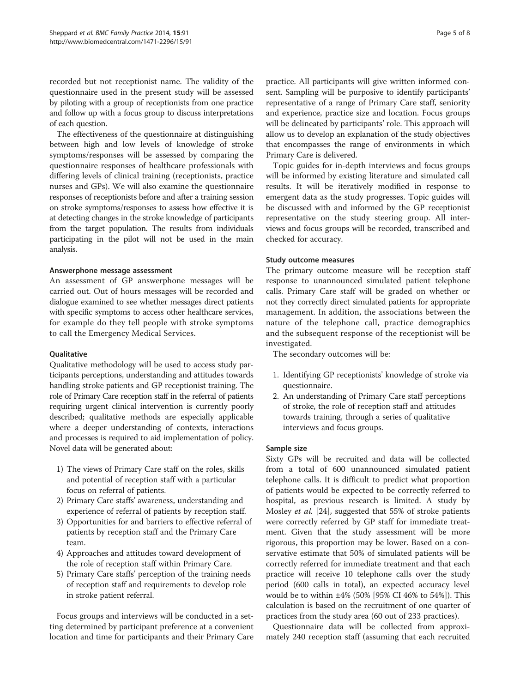recorded but not receptionist name. The validity of the questionnaire used in the present study will be assessed by piloting with a group of receptionists from one practice and follow up with a focus group to discuss interpretations of each question.

The effectiveness of the questionnaire at distinguishing between high and low levels of knowledge of stroke symptoms/responses will be assessed by comparing the questionnaire responses of healthcare professionals with differing levels of clinical training (receptionists, practice nurses and GPs). We will also examine the questionnaire responses of receptionists before and after a training session on stroke symptoms/responses to assess how effective it is at detecting changes in the stroke knowledge of participants from the target population. The results from individuals participating in the pilot will not be used in the main analysis.

#### Answerphone message assessment

An assessment of GP answerphone messages will be carried out. Out of hours messages will be recorded and dialogue examined to see whether messages direct patients with specific symptoms to access other healthcare services, for example do they tell people with stroke symptoms to call the Emergency Medical Services.

#### **Oualitative**

Qualitative methodology will be used to access study participants perceptions, understanding and attitudes towards handling stroke patients and GP receptionist training. The role of Primary Care reception staff in the referral of patients requiring urgent clinical intervention is currently poorly described; qualitative methods are especially applicable where a deeper understanding of contexts, interactions and processes is required to aid implementation of policy. Novel data will be generated about:

- 1) The views of Primary Care staff on the roles, skills and potential of reception staff with a particular focus on referral of patients.
- 2) Primary Care staffs' awareness, understanding and experience of referral of patients by reception staff.
- 3) Opportunities for and barriers to effective referral of patients by reception staff and the Primary Care team.
- 4) Approaches and attitudes toward development of the role of reception staff within Primary Care.
- 5) Primary Care staffs' perception of the training needs of reception staff and requirements to develop role in stroke patient referral.

Focus groups and interviews will be conducted in a setting determined by participant preference at a convenient location and time for participants and their Primary Care

practice. All participants will give written informed consent. Sampling will be purposive to identify participants' representative of a range of Primary Care staff, seniority and experience, practice size and location. Focus groups will be delineated by participants' role. This approach will allow us to develop an explanation of the study objectives that encompasses the range of environments in which Primary Care is delivered.

Topic guides for in-depth interviews and focus groups will be informed by existing literature and simulated call results. It will be iteratively modified in response to emergent data as the study progresses. Topic guides will be discussed with and informed by the GP receptionist representative on the study steering group. All interviews and focus groups will be recorded, transcribed and checked for accuracy.

#### Study outcome measures

The primary outcome measure will be reception staff response to unannounced simulated patient telephone calls. Primary Care staff will be graded on whether or not they correctly direct simulated patients for appropriate management. In addition, the associations between the nature of the telephone call, practice demographics and the subsequent response of the receptionist will be investigated.

The secondary outcomes will be:

- 1. Identifying GP receptionists' knowledge of stroke via questionnaire.
- 2. An understanding of Primary Care staff perceptions of stroke, the role of reception staff and attitudes towards training, through a series of qualitative interviews and focus groups.

### Sample size

Sixty GPs will be recruited and data will be collected from a total of 600 unannounced simulated patient telephone calls. It is difficult to predict what proportion of patients would be expected to be correctly referred to hospital, as previous research is limited. A study by Mosley et al. [\[24\]](#page-7-0), suggested that 55% of stroke patients were correctly referred by GP staff for immediate treatment. Given that the study assessment will be more rigorous, this proportion may be lower. Based on a conservative estimate that 50% of simulated patients will be correctly referred for immediate treatment and that each practice will receive 10 telephone calls over the study period (600 calls in total), an expected accuracy level would be to within ±4% (50% [95% CI 46% to 54%]). This calculation is based on the recruitment of one quarter of practices from the study area (60 out of 233 practices).

Questionnaire data will be collected from approximately 240 reception staff (assuming that each recruited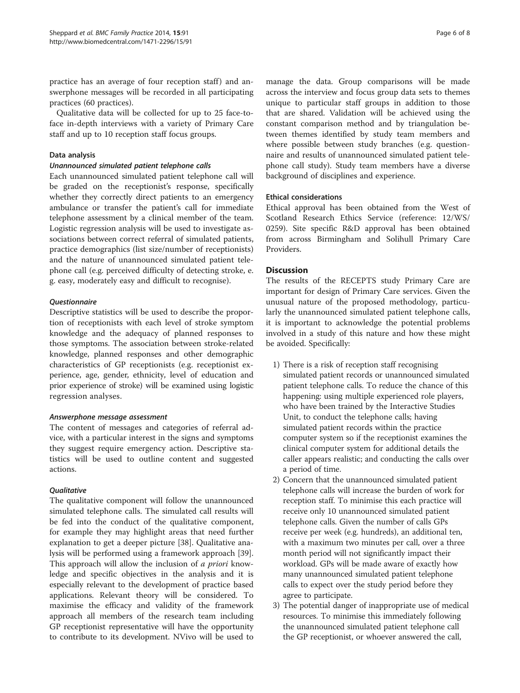practice has an average of four reception staff) and answerphone messages will be recorded in all participating practices (60 practices).

Qualitative data will be collected for up to 25 face-toface in-depth interviews with a variety of Primary Care staff and up to 10 reception staff focus groups.

### Data analysis

#### Unannounced simulated patient telephone calls

Each unannounced simulated patient telephone call will be graded on the receptionist's response, specifically whether they correctly direct patients to an emergency ambulance or transfer the patient's call for immediate telephone assessment by a clinical member of the team. Logistic regression analysis will be used to investigate associations between correct referral of simulated patients, practice demographics (list size/number of receptionists) and the nature of unannounced simulated patient telephone call (e.g. perceived difficulty of detecting stroke, e. g. easy, moderately easy and difficult to recognise).

### **Ouestionnaire**

Descriptive statistics will be used to describe the proportion of receptionists with each level of stroke symptom knowledge and the adequacy of planned responses to those symptoms. The association between stroke-related knowledge, planned responses and other demographic characteristics of GP receptionists (e.g. receptionist experience, age, gender, ethnicity, level of education and prior experience of stroke) will be examined using logistic regression analyses.

### Answerphone message assessment

The content of messages and categories of referral advice, with a particular interest in the signs and symptoms they suggest require emergency action. Descriptive statistics will be used to outline content and suggested actions.

### **Qualitative**

The qualitative component will follow the unannounced simulated telephone calls. The simulated call results will be fed into the conduct of the qualitative component, for example they may highlight areas that need further explanation to get a deeper picture [[38\]](#page-7-0). Qualitative analysis will be performed using a framework approach [\[39](#page-7-0)]. This approach will allow the inclusion of a priori knowledge and specific objectives in the analysis and it is especially relevant to the development of practice based applications. Relevant theory will be considered. To maximise the efficacy and validity of the framework approach all members of the research team including GP receptionist representative will have the opportunity to contribute to its development. NVivo will be used to

manage the data. Group comparisons will be made across the interview and focus group data sets to themes unique to particular staff groups in addition to those that are shared. Validation will be achieved using the constant comparison method and by triangulation between themes identified by study team members and where possible between study branches (e.g. questionnaire and results of unannounced simulated patient telephone call study). Study team members have a diverse background of disciplines and experience.

## Ethical considerations

Ethical approval has been obtained from the West of Scotland Research Ethics Service (reference: 12/WS/ 0259). Site specific R&D approval has been obtained from across Birmingham and Solihull Primary Care Providers.

## **Discussion**

The results of the RECEPTS study Primary Care are important for design of Primary Care services. Given the unusual nature of the proposed methodology, particularly the unannounced simulated patient telephone calls, it is important to acknowledge the potential problems involved in a study of this nature and how these might be avoided. Specifically:

- 1) There is a risk of reception staff recognising simulated patient records or unannounced simulated patient telephone calls. To reduce the chance of this happening: using multiple experienced role players, who have been trained by the Interactive Studies Unit, to conduct the telephone calls; having simulated patient records within the practice computer system so if the receptionist examines the clinical computer system for additional details the caller appears realistic; and conducting the calls over a period of time.
- 2) Concern that the unannounced simulated patient telephone calls will increase the burden of work for reception staff. To minimise this each practice will receive only 10 unannounced simulated patient telephone calls. Given the number of calls GPs receive per week (e.g. hundreds), an additional ten, with a maximum two minutes per call, over a three month period will not significantly impact their workload. GPs will be made aware of exactly how many unannounced simulated patient telephone calls to expect over the study period before they agree to participate.
- 3) The potential danger of inappropriate use of medical resources. To minimise this immediately following the unannounced simulated patient telephone call the GP receptionist, or whoever answered the call,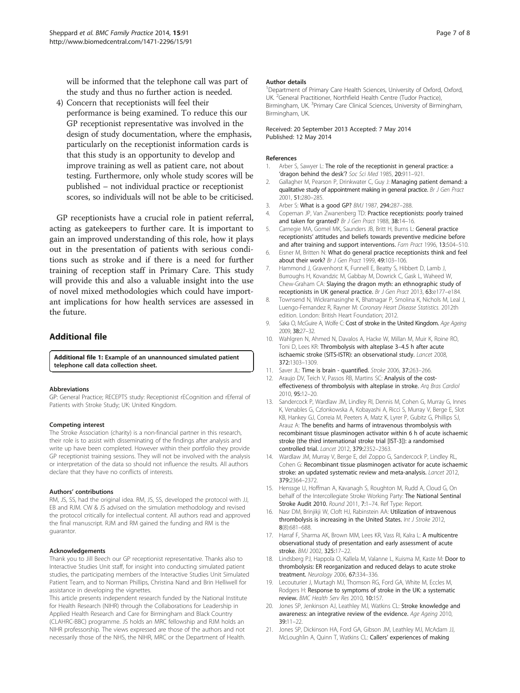<span id="page-6-0"></span>will be informed that the telephone call was part of the study and thus no further action is needed.

4) Concern that receptionists will feel their performance is being examined. To reduce this our GP receptionist representative was involved in the design of study documentation, where the emphasis, particularly on the receptionist information cards is that this study is an opportunity to develop and improve training as well as patient care, not about testing. Furthermore, only whole study scores will be published – not individual practice or receptionist scores, so individuals will not be able to be criticised.

GP receptionists have a crucial role in patient referral, acting as gatekeepers to further care. It is important to gain an improved understanding of this role, how it plays out in the presentation of patients with serious conditions such as stroke and if there is a need for further training of reception staff in Primary Care. This study will provide this and also a valuable insight into the use of novel mixed methodologies which could have important implications for how health services are assessed in the future.

## Additional file

[Additional file 1:](http://www.biomedcentral.com/content/supplementary/1471-2296-15-91-S1.docx) Example of an unannounced simulated patient telephone call data collection sheet.

#### Abbreviations

GP: General Practice; RECEPTS study: Receptionist rECognition and rEferral of Patients with Stroke Study; UK: United Kingdom.

#### Competing interest

The Stroke Association (charity) is a non-financial partner in this research, their role is to assist with disseminating of the findings after analysis and write up have been completed. However within their portfolio they provide GP receptionist training sessions. They will not be involved with the analysis or interpretation of the data so should not influence the results. All authors declare that they have no conflicts of interests.

#### Authors' contributions

RM, JS, SS, had the original idea. RM, JS, SS, developed the protocol with JJ, EB and RJM. CW & JS advised on the simulation methodology and revised the protocol critically for intellectual content. All authors read and approved the final manuscript. RJM and RM gained the funding and RM is the guarantor.

#### Acknowledgements

Thank you to Jill Beech our GP receptionist representative. Thanks also to Interactive Studies Unit staff, for insight into conducting simulated patient studies, the participating members of the Interactive Studies Unit Simulated Patient Team, and to Norman Phillips, Christina Nand and Brin Helliwell for assistance in developing the vignettes.

This article presents independent research funded by the National Institute for Health Research (NIHR) through the Collaborations for Leadership in Applied Health Research and Care for Birmingham and Black Country (CLAHRC-BBC) programme. JS holds an MRC fellowship and RJM holds an NIHR professorship. The views expressed are those of the authors and not necessarily those of the NHS, the NIHR, MRC or the Department of Health.

#### Author details

<sup>1</sup>Department of Primary Care Health Sciences, University of Oxford, Oxford, UK. <sup>2</sup> General Practitioner, Northfield Health Centre (Tudor Practice) Birmingham, UK. <sup>3</sup>Primary Care Clinical Sciences, University of Birmingham, Birmingham, UK.

#### Received: 20 September 2013 Accepted: 7 May 2014 Published: 12 May 2014

#### References

- Arber S, Sawyer L: The role of the receptionist in general practice: a 'dragon behind the desk'? Soc Sci Med 1985, 20:911–921.
- 2. Gallagher M, Pearson P, Drinkwater C, Guy J: Managing patient demand: a qualitative study of appointment making in general practice. Br J Gen Pract 2001, 51:280–285.
- 3. Arber S: What is a good GP? BMJ 1987, 294:287–288.
- 4. Copeman JP, Van Zwanenberg TD: Practice receptionists: poorly trained and taken for granted? Br J Gen Pract 1988, 38:14-16.
- 5. Carnegie MA, Gomel MK, Saunders JB, Britt H, Burns L: General practice receptionists' attitudes and beliefs towards preventive medicine before and after training and support interventions. Fam Pract 1996, 13:504-510.
- 6. Eisner M, Britten N: What do general practice receptionists think and feel about their work? Br J Gen Pract 1999, 49:103-106.
- 7. Hammond J, Gravenhorst K, Funnell E, Beatty S, Hibbert D, Lamb J, Burroughs H, Kovandzic M, Gabbay M, Dowrick C, Gask L, Waheed W, Chew-Graham CA: Slaying the dragon myth: an ethnographic study of receptionists in UK general practice. Br J Gen Pract 2013, 63:e177–e184.
- 8. Townsend N, Wickramasinghe K, Bhatnagar P, Smolina K, Nichols M, Leal J, Luengo-Fernandez R, Rayner M: Coronary Heart Disease Statistics. 2012th edition. London: British Heart Foundation; 2012.
- 9. Saka O, McGuire A, Wolfe C: Cost of stroke in the United Kingdom. Age Ageing 2009, 38:27–32.
- 10. Wahlgren N, Ahmed N, Davalos A, Hacke W, Millan M, Muir K, Roine RO, Toni D, Lees KR: Thrombolysis with alteplase 3-4.5 h after acute ischaemic stroke (SITS-ISTR): an observational study. Lancet 2008, 372:1303–1309.
- 11. Saver JL: Time is brain quantified. Stroke 2006, 37:263-266.
- 12. Araujo DV, Teich V, Passos RB, Martins SC: Analysis of the costeffectiveness of thrombolysis with alteplase in stroke. Arq Bras Cardiol 2010, 95:12–20.
- 13. Sandercock P, Wardlaw JM, Lindley RI, Dennis M, Cohen G, Murray G, Innes K, Venables G, Czlonkowska A, Kobayashi A, Ricci S, Murray V, Berge E, Slot KB, Hankey GJ, Correia M, Peeters A, Matz K, Lyrer P, Gubitz G, Phillips SJ, Arauz A: The benefits and harms of intravenous thrombolysis with recombinant tissue plasminogen activator within 6 h of acute ischaemic stroke (the third international stroke trial [IST-3]): a randomised controlled trial. Lancet 2012, 379:2352-2363.
- 14. Wardlaw JM, Murray V, Berge E, del Zoppo G, Sandercock P, Lindley RL, Cohen G: Recombinant tissue plasminogen activator for acute ischaemic stroke: an updated systematic review and meta-analysis. Lancet 2012, 379:2364–2372.
- 15. Henssge U, Hoffman A, Kavanagh S, Roughton M, Rudd A, Cloud G, On behalf of the Intercollegiate Stroke Working Party: The National Sentinal Stroke Audit 2010. Round 2011, 7:1–74. Ref Type: Report.
- 16. Nasr DM, Brinjikji W, Cloft HJ, Rabinstein AA: Utilization of intravenous thrombolysis is increasing in the United States. Int J Stroke 2012, 8(8):681–688.
- 17. Harraf F, Sharma AK, Brown MM, Lees KR, Vass RI, Kalra L: A multicentre observational study of presentation and early assessment of acute stroke. BMJ 2002, 325:17–22.
- 18. Lindsberg PJ, Happola O, Kallela M, Valanne L, Kuisma M, Kaste M: Door to thrombolysis: ER reorganization and reduced delays to acute stroke treatment. Neurology 2006, 67:334–336.
- 19. Lecouturier J, Murtagh MJ, Thomson RG, Ford GA, White M, Eccles M, Rodgers H: Response to symptoms of stroke in the UK: a systematic review. BMC Health Serv Res 2010, 10:157.
- 20. Jones SP, Jenkinson AJ, Leathley MJ, Watkins CL: Stroke knowledge and awareness: an integrative review of the evidence. Age Ageing 2010, 39:11–22.
- 21. Jones SP, Dickinson HA, Ford GA, Gibson JM, Leathley MJ, McAdam JJ, McLoughlin A, Quinn T, Watkins CL: Callers' experiences of making